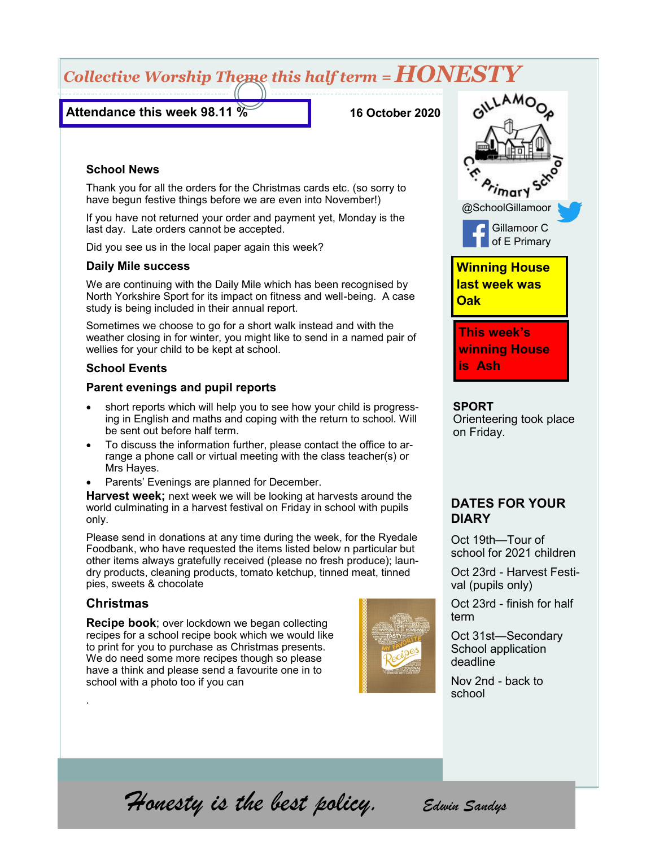# *Collective Worship Theme this half term = HONESTY*

### **Attendance this week 98.11 %**

**16 October 2020**

#### **School News**

Thank you for all the orders for the Christmas cards etc. (so sorry to have begun festive things before we are even into November!)

If you have not returned your order and payment yet, Monday is the last day. Late orders cannot be accepted.

Did you see us in the local paper again this week?

#### **Daily Mile success**

We are continuing with the Daily Mile which has been recognised by North Yorkshire Sport for its impact on fitness and well-being. A case study is being included in their annual report.

Sometimes we choose to go for a short walk instead and with the weather closing in for winter, you might like to send in a named pair of wellies for your child to be kept at school.

#### **School Events**

#### **Parent evenings and pupil reports**

- short reports which will help you to see how your child is progressing in English and maths and coping with the return to school. Will be sent out before half term.
- To discuss the information further, please contact the office to arrange a phone call or virtual meeting with the class teacher(s) or Mrs Hayes.
- Parents' Evenings are planned for December.

**Harvest week;** next week we will be looking at harvests around the world culminating in a harvest festival on Friday in school with pupils only.

Please send in donations at any time during the week, for the Ryedale Foodbank, who have requested the items listed below n particular but other items always gratefully received (please no fresh produce); laundry products, cleaning products, tomato ketchup, tinned meat, tinned pies, sweets & chocolate

#### **Christmas**

.

**Recipe book**; over lockdown we began collecting recipes for a school recipe book which we would like to print for you to purchase as Christmas presents. We do need some more recipes though so please have a think and please send a favourite one in to school with a photo too if you can





**SPORT** Orienteering took place on Friday.

### **DATES FOR YOUR DIARY**

Oct 19th—Tour of school for 2021 children

Oct 23rd - Harvest Festival (pupils only)

Oct 23rd - finish for half term

Oct 31st—Secondary School application deadline

Nov 2nd - back to school

*Honesty is the best policy. Edwin Sandys*